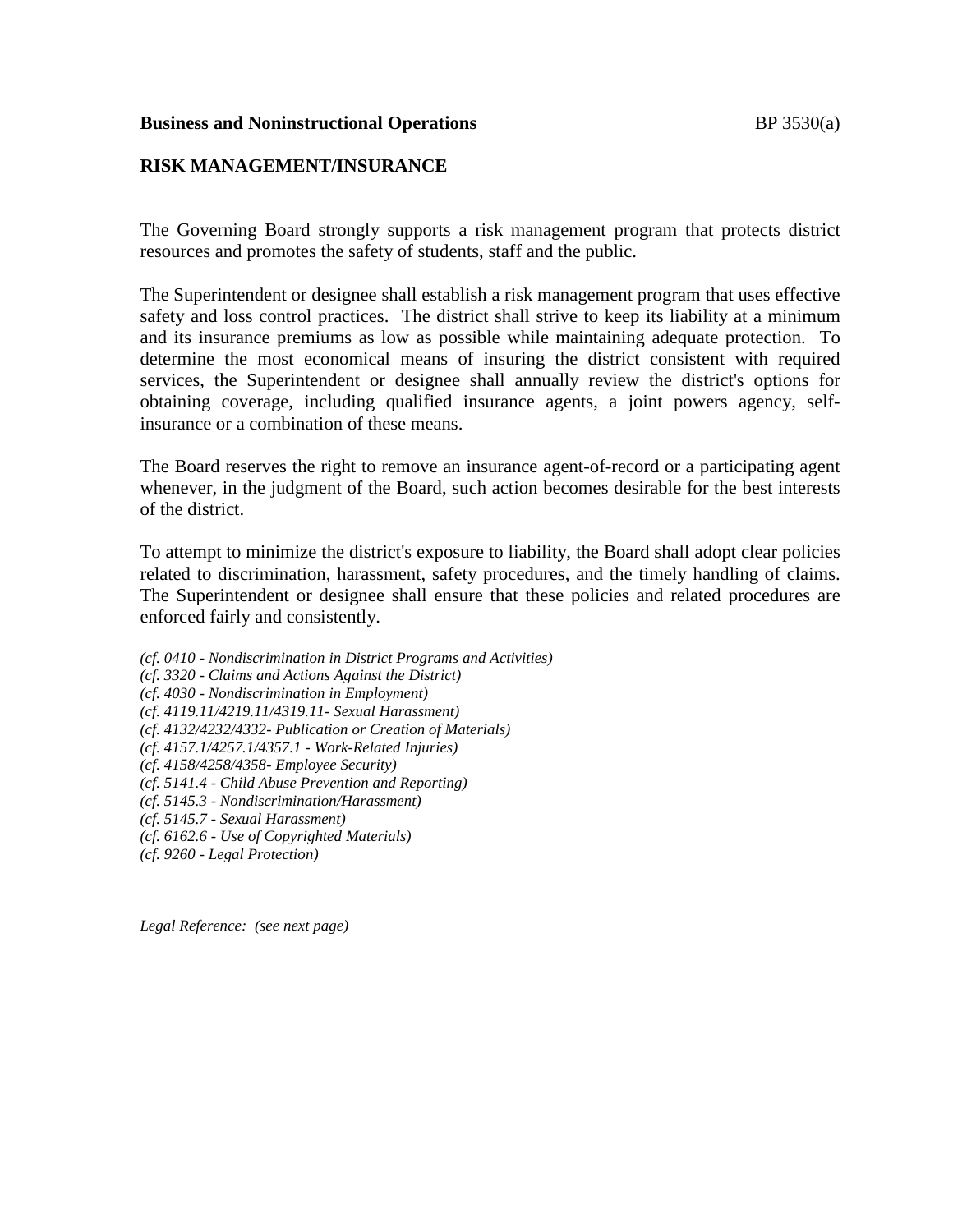#### **Business and Noninstructional Operations BP** 3530(a)

### **RISK MANAGEMENT/INSURANCE**

The Governing Board strongly supports a risk management program that protects district resources and promotes the safety of students, staff and the public.

The Superintendent or designee shall establish a risk management program that uses effective safety and loss control practices. The district shall strive to keep its liability at a minimum and its insurance premiums as low as possible while maintaining adequate protection. To determine the most economical means of insuring the district consistent with required services, the Superintendent or designee shall annually review the district's options for obtaining coverage, including qualified insurance agents, a joint powers agency, selfinsurance or a combination of these means.

The Board reserves the right to remove an insurance agent-of-record or a participating agent whenever, in the judgment of the Board, such action becomes desirable for the best interests of the district.

To attempt to minimize the district's exposure to liability, the Board shall adopt clear policies related to discrimination, harassment, safety procedures, and the timely handling of claims. The Superintendent or designee shall ensure that these policies and related procedures are enforced fairly and consistently.

- *(cf. 0410 - Nondiscrimination in District Programs and Activities)*
- *(cf. 3320 - Claims and Actions Against the District)*
- *(cf. 4030 - Nondiscrimination in Employment)*
- *(cf. 4119.11/4219.11/4319.11- Sexual Harassment)*
- *(cf. 4132/4232/4332- Publication or Creation of Materials)*
- *(cf. 4157.1/4257.1/4357.1 - Work-Related Injuries)*
- *(cf. 4158/4258/4358- Employee Security)*
- *(cf. 5141.4 - Child Abuse Prevention and Reporting)*
- *(cf. 5145.3 - Nondiscrimination/Harassment)*
- *(cf. 5145.7 - Sexual Harassment)*
- *(cf. 6162.6 - Use of Copyrighted Materials)*
- *(cf. 9260 - Legal Protection)*

*Legal Reference: (see next page)*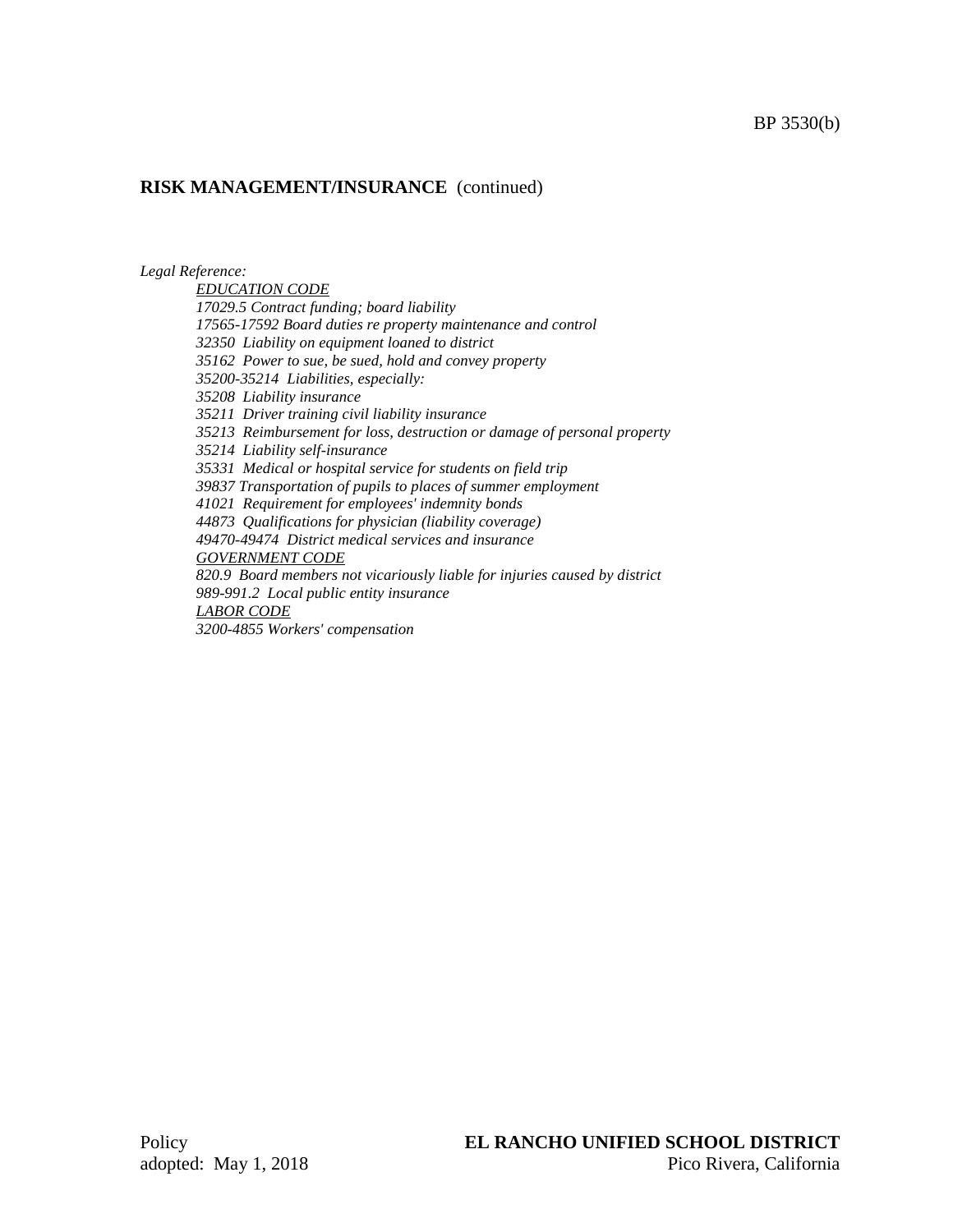## **RISK MANAGEMENT/INSURANCE** (continued)

*Legal Reference:*

*EDUCATION CODE 17029.5 Contract funding; board liability 17565-17592 Board duties re property maintenance and control 32350 Liability on equipment loaned to district 35162 Power to sue, be sued, hold and convey property 35200-35214 Liabilities, especially: 35208 Liability insurance 35211 Driver training civil liability insurance 35213 Reimbursement for loss, destruction or damage of personal property 35214 Liability self-insurance 35331 Medical or hospital service for students on field trip 39837 Transportation of pupils to places of summer employment 41021 Requirement for employees' indemnity bonds 44873 Qualifications for physician (liability coverage) 49470-49474 District medical services and insurance GOVERNMENT CODE 820.9 Board members not vicariously liable for injuries caused by district 989-991.2 Local public entity insurance LABOR CODE 3200-4855 Workers' compensation*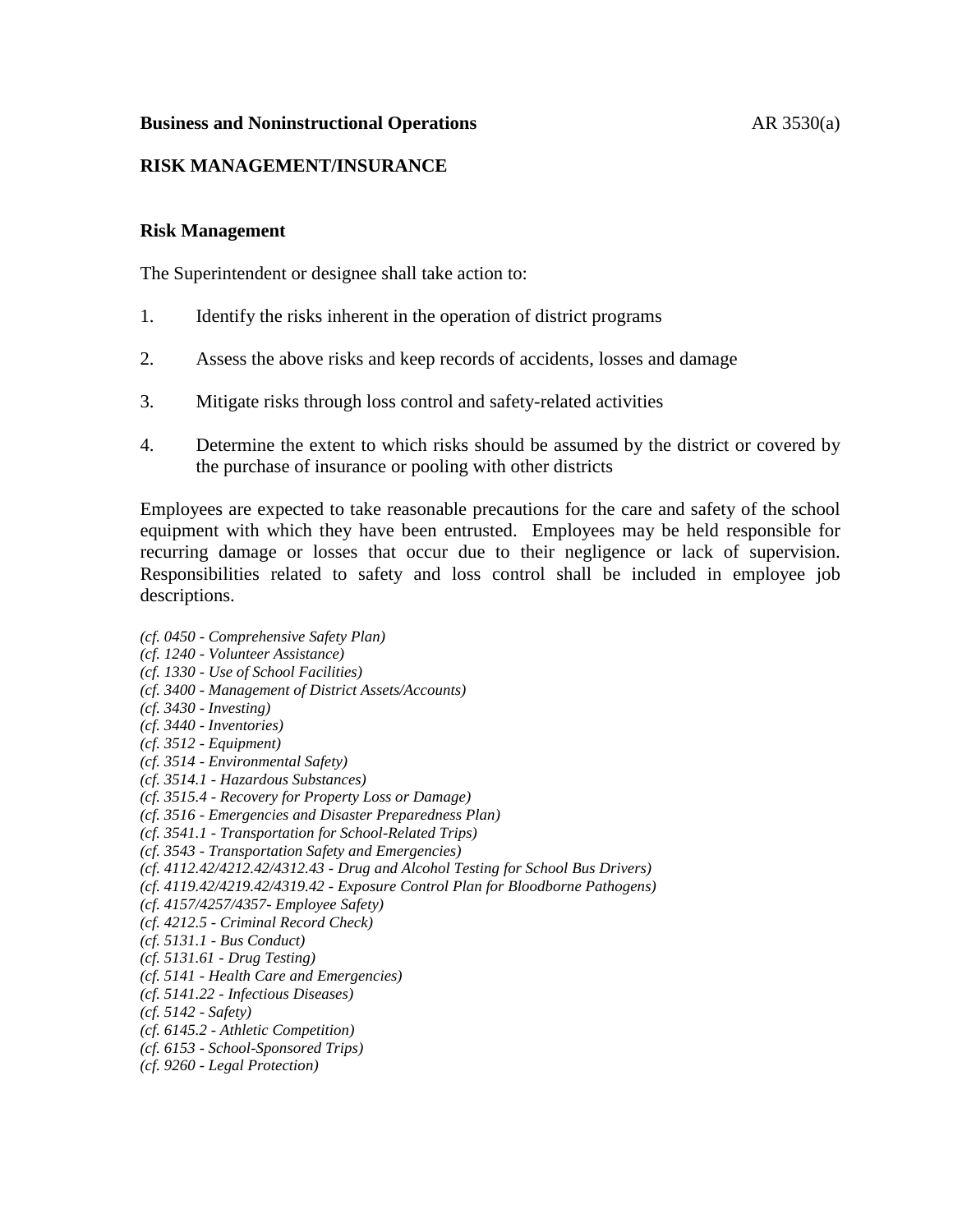### **Business and Noninstructional Operations** AR 3530(a)

## **RISK MANAGEMENT/INSURANCE**

### **Risk Management**

The Superintendent or designee shall take action to:

- 1. Identify the risks inherent in the operation of district programs
- 2. Assess the above risks and keep records of accidents, losses and damage
- 3. Mitigate risks through loss control and safety-related activities
- 4. Determine the extent to which risks should be assumed by the district or covered by the purchase of insurance or pooling with other districts

Employees are expected to take reasonable precautions for the care and safety of the school equipment with which they have been entrusted. Employees may be held responsible for recurring damage or losses that occur due to their negligence or lack of supervision. Responsibilities related to safety and loss control shall be included in employee job descriptions.

- *(cf. 0450 - Comprehensive Safety Plan)*
- *(cf. 1240 - Volunteer Assistance)*
- *(cf. 1330 - Use of School Facilities)*
- *(cf. 3400 - Management of District Assets/Accounts)*
- *(cf. 3430 - Investing)*
- *(cf. 3440 - Inventories)*
- *(cf. 3512 - Equipment)*
- *(cf. 3514 - Environmental Safety)*
- *(cf. 3514.1 - Hazardous Substances)*
- *(cf. 3515.4 - Recovery for Property Loss or Damage)*
- *(cf. 3516 - Emergencies and Disaster Preparedness Plan)*
- *(cf. 3541.1 - Transportation for School-Related Trips)*
- *(cf. 3543 - Transportation Safety and Emergencies)*
- *(cf. 4112.42/4212.42/4312.43 - Drug and Alcohol Testing for School Bus Drivers)*
- *(cf. 4119.42/4219.42/4319.42 - Exposure Control Plan for Bloodborne Pathogens)*
- *(cf. 4157/4257/4357- Employee Safety)*
- *(cf. 4212.5 - Criminal Record Check)*
- *(cf. 5131.1 - Bus Conduct)*
- *(cf. 5131.61 - Drug Testing)*
- *(cf. 5141 - Health Care and Emergencies)*
- *(cf. 5141.22 - Infectious Diseases)*
- *(cf. 5142 - Safety)*
- *(cf. 6145.2 - Athletic Competition)*
- *(cf. 6153 - School-Sponsored Trips)*
- *(cf. 9260 - Legal Protection)*